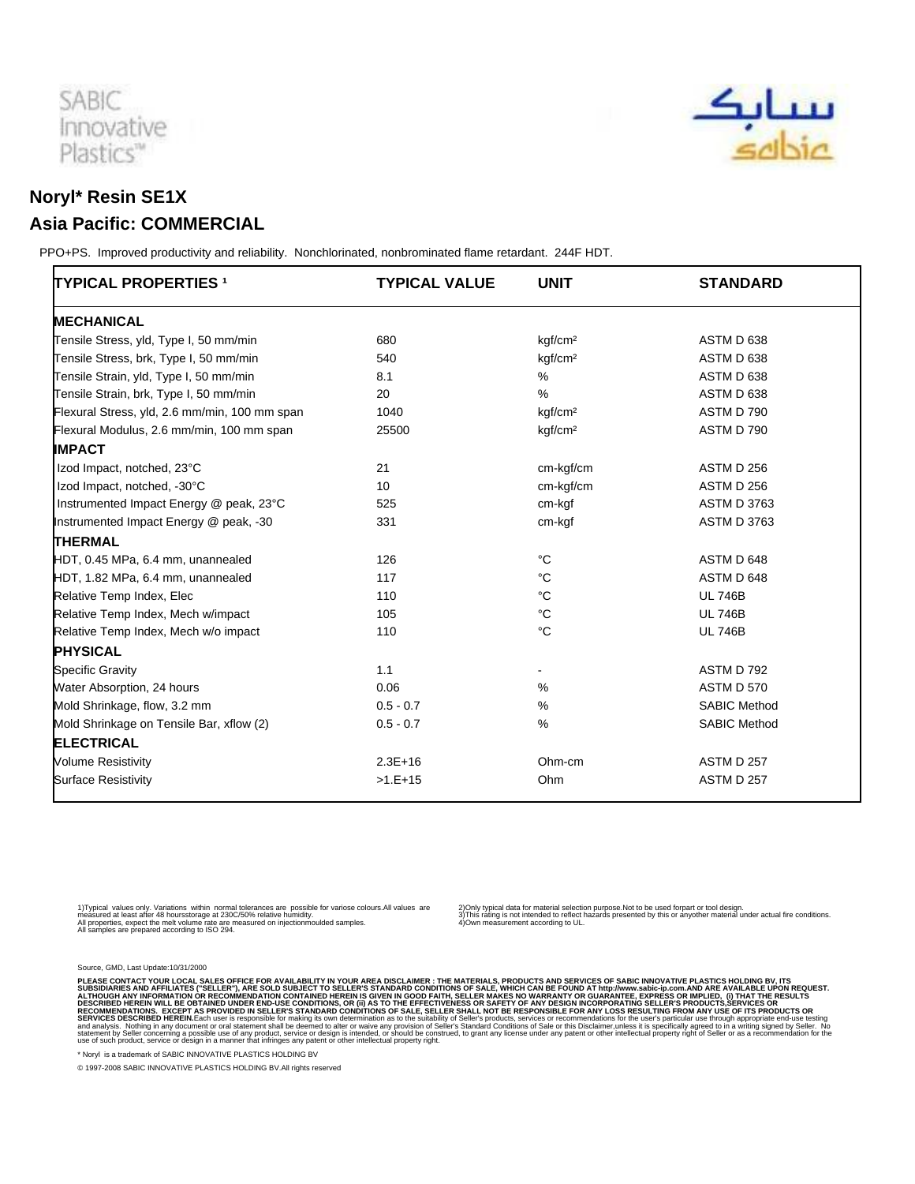

## **Noryl\* Resin SE1X Asia Pacific: COMMERCIAL**

 PPO+PS. Improved productivity and reliability. Nonchlorinated, nonbrominated flame retardant. 244F HDT.

| <b>TYPICAL PROPERTIES 1</b>                   | <b>TYPICAL VALUE</b> | <b>UNIT</b>         | <b>STANDARD</b>     |
|-----------------------------------------------|----------------------|---------------------|---------------------|
| <b>MECHANICAL</b>                             |                      |                     |                     |
| Tensile Stress, yld, Type I, 50 mm/min        | 680                  | kgf/cm <sup>2</sup> | ASTM D 638          |
| Tensile Stress, brk, Type I, 50 mm/min        | 540                  | kgf/cm <sup>2</sup> | ASTM D 638          |
| Tensile Strain, yld, Type I, 50 mm/min        | 8.1                  | %                   | ASTM D 638          |
| Tensile Strain, brk, Type I, 50 mm/min        | 20                   | $\%$                | ASTM D 638          |
| Flexural Stress, yld, 2.6 mm/min, 100 mm span | 1040                 | kgf/cm <sup>2</sup> | ASTM D 790          |
| Flexural Modulus, 2.6 mm/min, 100 mm span     | 25500                | kgf/cm <sup>2</sup> | ASTM D 790          |
| <b>IMPACT</b>                                 |                      |                     |                     |
| Izod Impact, notched, 23°C                    | 21                   | cm-kgf/cm           | ASTM D 256          |
| Izod Impact, notched, -30°C                   | 10                   | cm-kgf/cm           | ASTM D 256          |
| Instrumented Impact Energy @ peak, 23°C       | 525                  | cm-kgf              | <b>ASTM D 3763</b>  |
| Instrumented Impact Energy @ peak, -30        | 331                  | cm-kgf              | <b>ASTM D 3763</b>  |
| <b>THERMAL</b>                                |                      |                     |                     |
| HDT, 0.45 MPa, 6.4 mm, unannealed             | 126                  | $^{\circ}C$         | ASTM D 648          |
| HDT, 1.82 MPa, 6.4 mm, unannealed             | 117                  | °C                  | ASTM D 648          |
| Relative Temp Index, Elec                     | 110                  | °C                  | <b>UL 746B</b>      |
| Relative Temp Index, Mech w/impact            | 105                  | $^{\circ}C$         | <b>UL 746B</b>      |
| Relative Temp Index, Mech w/o impact          | 110                  | $^{\circ}C$         | <b>UL 746B</b>      |
| <b>PHYSICAL</b>                               |                      |                     |                     |
| <b>Specific Gravity</b>                       | 1.1                  |                     | ASTM D 792          |
| Water Absorption, 24 hours                    | 0.06                 | %                   | <b>ASTM D 570</b>   |
| Mold Shrinkage, flow, 3.2 mm                  | $0.5 - 0.7$          | %                   | <b>SABIC Method</b> |
| Mold Shrinkage on Tensile Bar, xflow (2)      | $0.5 - 0.7$          | $\%$                | <b>SABIC Method</b> |
| <b>ELECTRICAL</b>                             |                      |                     |                     |
| <b>Volume Resistivity</b>                     | $2.3E+16$            | Ohm-cm              | <b>ASTM D 257</b>   |
| <b>Surface Resistivity</b>                    | $>1.E+15$            | Ohm                 | ASTM D 257          |

1) Typical values only. Variations within normal tolerances are possible for variose colours.All values are<br>measured at least after 48 hours storage at 230C/50% relative humidity.<br>All samples are prepared according to ISO

2) Only typical data for material selection purpose.Not to be used for part or tool design.<br>3) This rating is not intended to reflect hazards presented by this or any other material under actual fire conditions.<br>4) Own me

Source, GMD, Last Update:10/31/2000

PLEASE CONTACT YOUR LOCAL SALES OFFICE FOR AVAILABILITY IN YOUR AREA DISCLAIMER: THE MATERIALS, PRODUCTS AND SENDED TO SALES WHICH CAN BE FOUND AT http://www.sabic-ip.com.AND ARE AVAILABLE UPON REQUEST.<br>ALTHOUGH ANY INFORM

\* Noryl is a trademark of SABIC INNOVATIVE PLASTICS HOLDING BV

© 1997-2008 SABIC INNOVATIVE PLASTICS HOLDING BV.All rights reserved

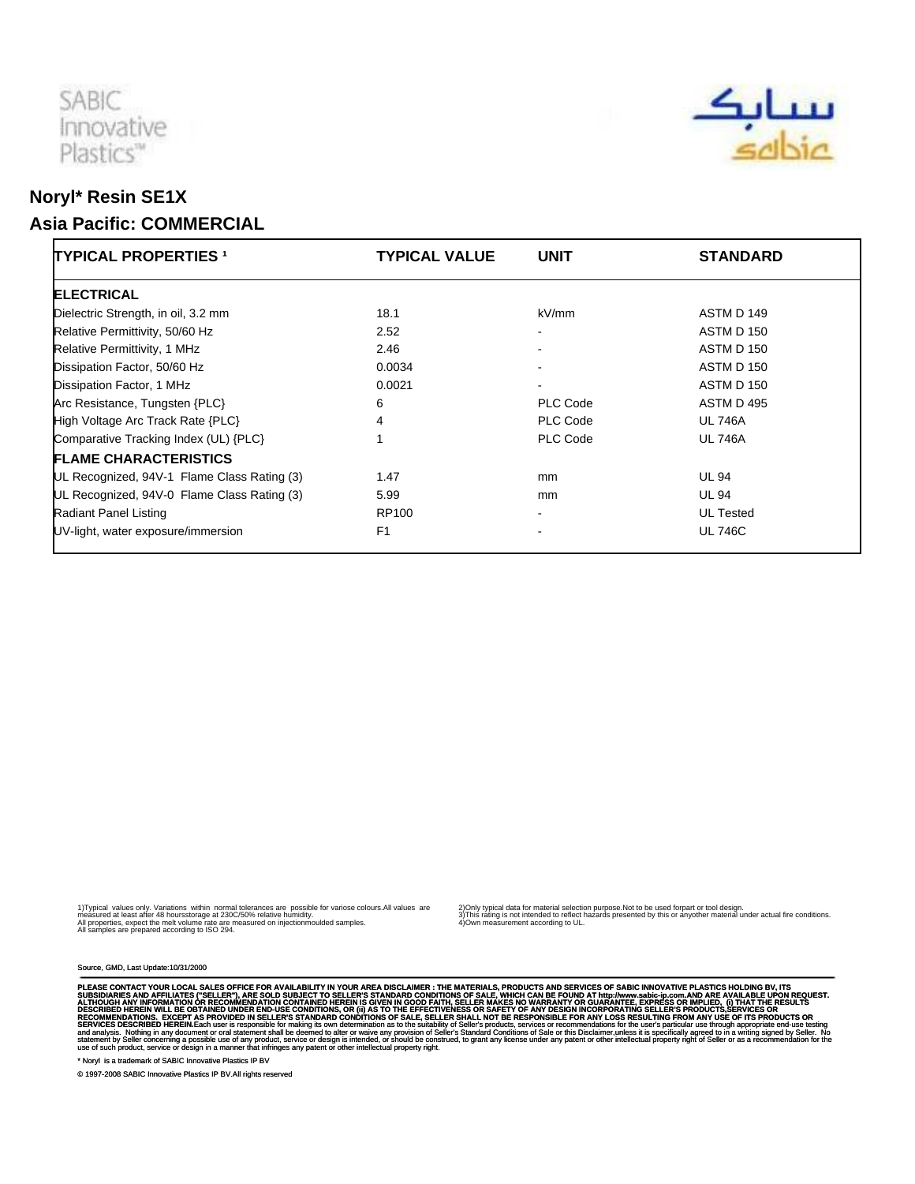

## **Noryl\* Resin SE1X Asia Pacific: COMMERCIAL**

| <b>TYPICAL PROPERTIES 1</b>                 | <b>TYPICAL VALUE</b> | <b>UNIT</b>              | <b>STANDARD</b>  |
|---------------------------------------------|----------------------|--------------------------|------------------|
| <b>ELECTRICAL</b>                           |                      |                          |                  |
| Dielectric Strength, in oil, 3.2 mm         | 18.1                 | kV/mm                    | ASTM D 149       |
| Relative Permittivity, 50/60 Hz             | 2.52                 |                          | ASTM D 150       |
| Relative Permittivity, 1 MHz                | 2.46                 | $\overline{\phantom{a}}$ | ASTM D 150       |
| Dissipation Factor, 50/60 Hz                | 0.0034               |                          | ASTM D 150       |
| Dissipation Factor, 1 MHz                   | 0.0021               | $\overline{\phantom{a}}$ | ASTM D 150       |
| Arc Resistance, Tungsten {PLC}              | 6                    | PLC Code                 | ASTM D 495       |
| High Voltage Arc Track Rate {PLC}           | 4                    | PLC Code                 | <b>UL 746A</b>   |
| Comparative Tracking Index (UL) {PLC}       |                      | PLC Code                 | <b>UL 746A</b>   |
| <b>FLAME CHARACTERISTICS</b>                |                      |                          |                  |
| UL Recognized, 94V-1 Flame Class Rating (3) | 1.47                 | mm                       | <b>UL 94</b>     |
| UL Recognized, 94V-0 Flame Class Rating (3) | 5.99                 | mm                       | <b>UL 94</b>     |
| <b>Radiant Panel Listing</b>                | RP100                | $\overline{\phantom{a}}$ | <b>UL Tested</b> |
| UV-light, water exposure/immersion          | F <sub>1</sub>       |                          | <b>UL 746C</b>   |

1) Typical values only. Variations within normal tolerances are possible for variose colours.All values are<br>measured at least after 48 hours storage at 230C/50% relative humidity.<br>All samples are prepared according to ISO

2) Only typical data for material selection purpose.Not to be used for part or tool design.<br>3) This rating is not intended to reflect hazards presented by this or any other material under actual fire conditions.<br>4) Own me

Source, GMD, Last Update:10/31/2000

PLEASE CONTACT YOUR LOCAL SALES OFFICE FOR AVAILABILITY IN YOUR AREA DISCLAIMER : THE MATERIALS, PRODUCTS AND SEVIDES OF SAGIC INNOVATIVE PLASS TO SUPPOSE THE SUPPOSE THE MATERIALS. PRODUCTS AND SERVICES OF SALES WILL ARE

\* Noryl is a trademark of SABIC Innovative Plastics IP BV

© 1997-2008 SABIC Innovative Plastics IP BV.All rights reserved